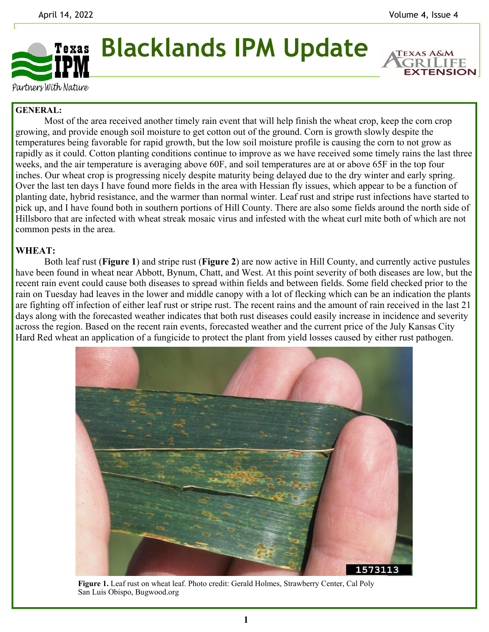**EXTENSION** 



Partners With Nature

## **GENERAL:**

 Most of the area received another timely rain event that will help finish the wheat crop, keep the corn crop growing, and provide enough soil moisture to get cotton out of the ground. Corn is growth slowly despite the temperatures being favorable for rapid growth, but the low soil moisture profile is causing the corn to not grow as rapidly as it could. Cotton planting conditions continue to improve as we have received some timely rains the last three weeks, and the air temperature is averaging above 60F, and soil temperatures are at or above 65F in the top four inches. Our wheat crop is progressing nicely despite maturity being delayed due to the dry winter and early spring. Over the last ten days I have found more fields in the area with Hessian fly issues, which appear to be a function of planting date, hybrid resistance, and the warmer than normal winter. Leaf rust and stripe rust infections have started to pick up, and I have found both in southern portions of Hill County. There are also some fields around the north side of Hillsboro that are infected with wheat streak mosaic virus and infested with the wheat curl mite both of which are not common pests in the area.

## **WHEAT:**

Both leaf rust (**Figure 1**) and stripe rust (**Figure 2**) are now active in Hill County, and currently active pustules have been found in wheat near Abbott, Bynum, Chatt, and West. At this point severity of both diseases are low, but the recent rain event could cause both diseases to spread within fields and between fields. Some field checked prior to the rain on Tuesday had leaves in the lower and middle canopy with a lot of flecking which can be an indication the plants are fighting off infection of either leaf rust or stripe rust. The recent rains and the amount of rain received in the last 21 days along with the forecasted weather indicates that both rust diseases could easily increase in incidence and severity across the region. Based on the recent rain events, forecasted weather and the current price of the July Kansas City Hard Red wheat an application of a fungicide to protect the plant from yield losses caused by either rust pathogen.



**Figure 1.** Leaf rust on wheat leaf. Photo credit: Gerald Holmes, Strawberry Center, Cal Poly San Luis Obispo, Bugwood.org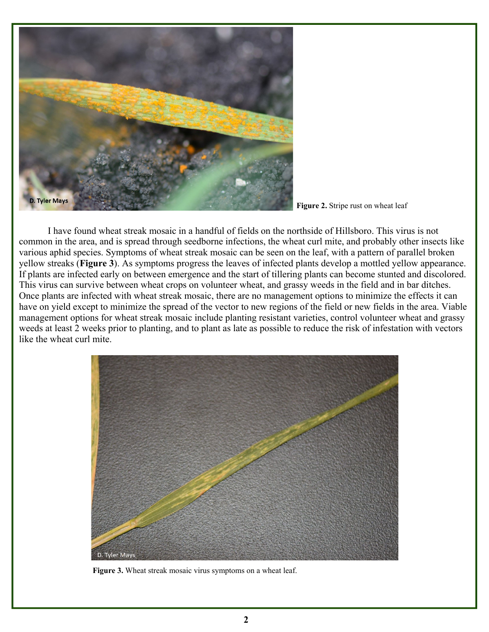

**Figure 2.** Stripe rust on wheat leaf

 I have found wheat streak mosaic in a handful of fields on the northside of Hillsboro. This virus is not common in the area, and is spread through seedborne infections, the wheat curl mite, and probably other insects like various aphid species. Symptoms of wheat streak mosaic can be seen on the leaf, with a pattern of parallel broken yellow streaks (**Figure 3**). As symptoms progress the leaves of infected plants develop a mottled yellow appearance. If plants are infected early on between emergence and the start of tillering plants can become stunted and discolored. This virus can survive between wheat crops on volunteer wheat, and grassy weeds in the field and in bar ditches. Once plants are infected with wheat streak mosaic, there are no management options to minimize the effects it can have on yield except to minimize the spread of the vector to new regions of the field or new fields in the area. Viable management options for wheat streak mosaic include planting resistant varieties, control volunteer wheat and grassy weeds at least 2 weeks prior to planting, and to plant as late as possible to reduce the risk of infestation with vectors like the wheat curl mite.



**Figure 3.** Wheat streak mosaic virus symptoms on a wheat leaf.